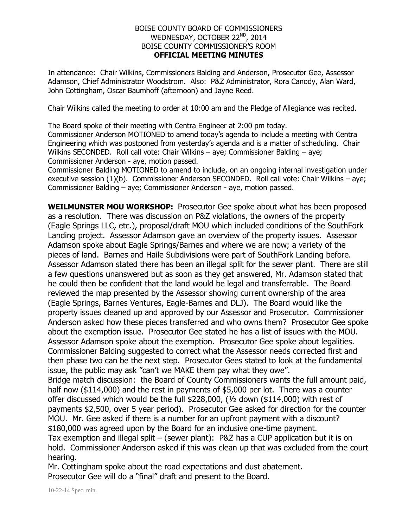## BOISE COUNTY BOARD OF COMMISSIONERS WEDNESDAY, OCTOBER 22<sup>ND</sup>, 2014 BOISE COUNTY COMMISSIONER'S ROOM **OFFICIAL MEETING MINUTES**

In attendance: Chair Wilkins, Commissioners Balding and Anderson, Prosecutor Gee, Assessor Adamson, Chief Administrator Woodstrom. Also: P&Z Administrator, Rora Canody, Alan Ward, John Cottingham, Oscar Baumhoff (afternoon) and Jayne Reed.

Chair Wilkins called the meeting to order at 10:00 am and the Pledge of Allegiance was recited.

The Board spoke of their meeting with Centra Engineer at 2:00 pm today. Commissioner Anderson MOTIONED to amend today's agenda to include a meeting with Centra Engineering which was postponed from yesterday's agenda and is a matter of scheduling. Chair Wilkins SECONDED. Roll call vote: Chair Wilkins – aye; Commissioner Balding – aye; Commissioner Anderson - aye, motion passed.

Commissioner Balding MOTIONED to amend to include, on an ongoing internal investigation under executive session (1)(b). Commissioner Anderson SECONDED. Roll call vote: Chair Wilkins – aye; Commissioner Balding – aye; Commissioner Anderson - aye, motion passed.

**WEILMUNSTER MOU WORKSHOP:** Prosecutor Gee spoke about what has been proposed as a resolution. There was discussion on P&Z violations, the owners of the property (Eagle Springs LLC, etc.), proposal/draft MOU which included conditions of the SouthFork Landing project. Assessor Adamson gave an overview of the property issues. Assessor Adamson spoke about Eagle Springs/Barnes and where we are now; a variety of the pieces of land. Barnes and Haile Subdivisions were part of SouthFork Landing before. Assessor Adamson stated there has been an illegal split for the sewer plant. There are still a few questions unanswered but as soon as they get answered, Mr. Adamson stated that he could then be confident that the land would be legal and transferrable. The Board reviewed the map presented by the Assessor showing current ownership of the area (Eagle Springs, Barnes Ventures, Eagle-Barnes and DLJ). The Board would like the property issues cleaned up and approved by our Assessor and Prosecutor. Commissioner Anderson asked how these pieces transferred and who owns them? Prosecutor Gee spoke about the exemption issue. Prosecutor Gee stated he has a list of issues with the MOU. Assessor Adamson spoke about the exemption. Prosecutor Gee spoke about legalities. Commissioner Balding suggested to correct what the Assessor needs corrected first and then phase two can be the next step. Prosecutor Gees stated to look at the fundamental issue, the public may ask "can't we MAKE them pay what they owe". Bridge match discussion: the Board of County Commissioners wants the full amount paid, half now (\$114,000) and the rest in payments of \$5,000 per lot. There was a counter offer discussed which would be the full \$228,000, (½ down (\$114,000) with rest of payments \$2,500, over 5 year period). Prosecutor Gee asked for direction for the counter MOU. Mr. Gee asked if there is a number for an upfront payment with a discount?

\$180,000 was agreed upon by the Board for an inclusive one-time payment.

Tax exemption and illegal split – (sewer plant): P&Z has a CUP application but it is on hold. Commissioner Anderson asked if this was clean up that was excluded from the court hearing.

Mr. Cottingham spoke about the road expectations and dust abatement. Prosecutor Gee will do a "final" draft and present to the Board.